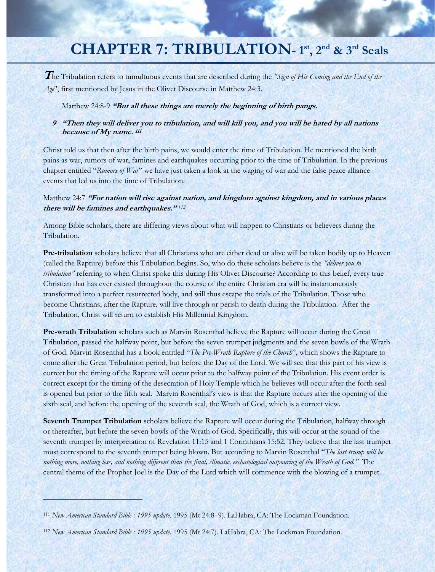# **CHAPTER 7: TRIBULATION- 1st, 2nd & 3rd Seals**

**T**he Tribulation refers to tumultuous events that are described during the *"Sign of His Coming and the End of the Age*", first mentioned by Jesus in the Olivet Discourse in Matthew 24:3.

Matthew 24:8-9 **"But all these things are merely the beginning of birth pangs.** 

### **9 "Then they will deliver you to tribulation, and will kill you, and you will be hated by all nations because of My name. <sup>111</sup>**

Christ told us that then after the birth pains, we would enter the time of Tribulation. He mentioned the birth pains as war, rumors of war, famines and earthquakes occurring prior to the time of Tribulation. In the previous chapter entitled "*Rumors of War*" we have just taken a look at the waging of war and the false peace alliance events that led us into the time of Tribulation.

### Matthew 24:7 **"For nation will rise against nation, and kingdom against kingdom, and in various places there will be famines and earthquakes."** *<sup>112</sup>*

Among Bible scholars, there are differing views about what will happen to Christians or believers during the Tribulation.

**Pre-tribulation** scholars believe that all Christians who are either dead or alive will be taken bodily up to Heaven (called the Rapture) before this Tribulation begins. So, who do these scholars believe is the *"deliver you to tribulation"* referring to when Christ spoke this during His Olivet Discourse? According to this belief, every true Christian that has ever existed throughout the course of the entire Christian era will be instantaneously transformed into a perfect resurrected body, and will thus escape the trials of the Tribulation. Those who become Christians, after the Rapture, will live through or perish to death during the Tribulation. After the Tribulation, Christ will return to establish His Millennial Kingdom.

**Pre-wrath Tribulation** scholars such as Marvin Rosenthal believe the Rapture will occur during the Great Tribulation, passed the halfway point, but before the seven trumpet judgments and the seven bowls of the Wrath of God. Marvin Rosenthal has a book entitled "*The Pre-Wrath Rapture of the Church*", which shows the Rapture to come after the Great Tribulation period, but before the Day of the Lord. We will see that this part of his view is correct but the timing of the Rapture will occur prior to the halfway point of the Tribulation. His event order is correct except for the timing of the desecration of Holy Temple which he believes will occur after the forth seal is opened but prior to the fifth seal. Marvin Rosenthal's view is that the Rapture occurs after the opening of the sixth seal, and before the opening of the seventh seal, the Wrath of God, which is a correct view.

**Seventh Trumpet Tribulation** scholars believe the Rapture will occur during the Tribulation, halfway through or thereafter, but before the seven bowls of the Wrath of God. Specifically, this will occur at the sound of the seventh trumpet by interpretation of Revelation 11:15 and 1 Corinthians 15:52. They believe that the last trumpet must correspond to the seventh trumpet being blown. But according to Marvin Rosenthal "*The last trump will be nothing more, nothing less, and nothing different than the final, climatic, eschatological outpouring of the Wrath of God."* The central theme of the Prophet Joel is the Day of the Lord which will commence with the blowing of a trumpet.

<u> London Maria (1944)</u>

<sup>111</sup> *New American Standard Bible : 1995 update*. 1995 (Mt 24:8–9). LaHabra, CA: The Lockman Foundation.

<sup>112</sup> *New American Standard Bible : 1995 update*. 1995 (Mt 24:7). LaHabra, CA: The Lockman Foundation.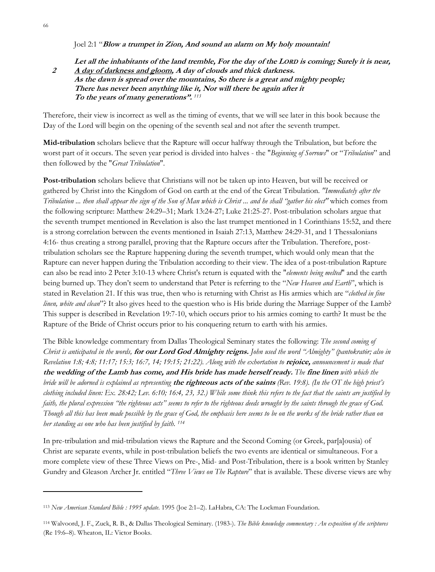#### Joel 2:1 "**Blow a trumpet in Zion, And sound an alarm on My holy mountain!**

### **Let all the inhabitants of the land tremble, For the day of the LORD is coming; Surely it is near, 2 A day of darkness and gloom, A day of clouds and thick darkness. As the dawn is spread over the mountains, So there is a great and mighty people; There has never been anything like it, Nor will there be again after it To the years of many generations".** *<sup>113</sup>*

Therefore, their view is incorrect as well as the timing of events, that we will see later in this book because the Day of the Lord will begin on the opening of the seventh seal and not after the seventh trumpet.

**Mid-tribulation** scholars believe that the Rapture will occur halfway through the Tribulation, but before the worst part of it occurs. The seven year period is divided into halves - the "*Beginning of Sorrows*" or "*Tribulation*" and then followed by the "*Great Tribulation*".

**Post-tribulation** scholars believe that Christians will not be taken up into Heaven, but will be received or gathered by Christ into the Kingdom of God on earth at the end of the Great Tribulation. *"Immediately after the Tribulation ... then shall appear the sign of the Son of Man which is Christ ... and he shall "gather his elect"* which comes from the following scripture: Matthew 24:29–31; Mark 13:24-27; Luke 21:25-27. Post-tribulation scholars argue that the seventh trumpet mentioned in Revelation is also the last trumpet mentioned in 1 Corinthians 15:52, and there is a strong correlation between the events mentioned in Isaiah 27:13, Matthew 24:29-31, and 1 Thessalonians 4:16- thus creating a strong parallel, proving that the Rapture occurs after the Tribulation. Therefore, posttribulation scholars see the Rapture happening during the seventh trumpet, which would only mean that the Rapture can never happen during the Tribulation according to their view. The idea of a post-tribulation Rapture can also be read into 2 Peter 3:10-13 where Christ's return is equated with the "*elements being melted*" and the earth being burned up. They don't seem to understand that Peter is referring to the "*New Heaven and Earth*", which is stated in Revelation 21. If this was true, then who is returning with Christ as His armies which are "*clothed in fine linen, white and clean*"? It also gives heed to the question who is His bride during the Marriage Supper of the Lamb? This supper is described in Revelation 19:7-10, which occurs prior to his armies coming to earth? It must be the Rapture of the Bride of Christ occurs prior to his conquering return to earth with his armies.

The Bible knowledge commentary from Dallas Theological Seminary states the following: *The second coming of Christ is anticipated in the words,* **for our Lord God Almighty reigns.** *John used the word "Almighty" (pantokratōr; also in Revelation 1:8; 4:8; 11:17; 15:3; 16:7, 14; 19:15; 21:22). Along with the exhortation to* **rejoice,** *announcement is made that*  **the wedding of the Lamb has come, and His bride has made herself ready.** *The* **fine linen** *with which the bride will be adorned is explained as representing* **the righteous acts of the saints** *(Rev. 19:8). (In the OT the high priest's clothing included linen: Ex. 28:42; Lev. 6:10; 16:4, 23, 32.) While some think this refers to the fact that the saints are justified by faith, the plural expression "the righteous acts" seems to refer to the righteous deeds wrought by the saints through the grace of God. Though all this has been made possible by the grace of God, the emphasis here seems to be on the works of the bride rather than on her standing as one who has been justified by faith. 114*

In pre-tribulation and mid-tribulation views the Rapture and the Second Coming (or Greek, par[a]ousia) of Christ are separate events, while in post-tribulation beliefs the two events are identical or simultaneous. For a more complete view of these Three Views on Pre-, Mid- and Post-Tribulation, there is a book written by Stanley Gundry and Gleason Archer Jr. entitled "*Three Views on The Rapture*" that is available. These diverse views are why

<sup>113</sup> *New American Standard Bible : 1995 update*. 1995 (Joe 2:1–2). LaHabra, CA: The Lockman Foundation.

<sup>114</sup> Walvoord, J. F., Zuck, R. B., & Dallas Theological Seminary. (1983-). *The Bible knowledge commentary : An exposition of the scriptures* (Re 19:6–8). Wheaton, IL: Victor Books.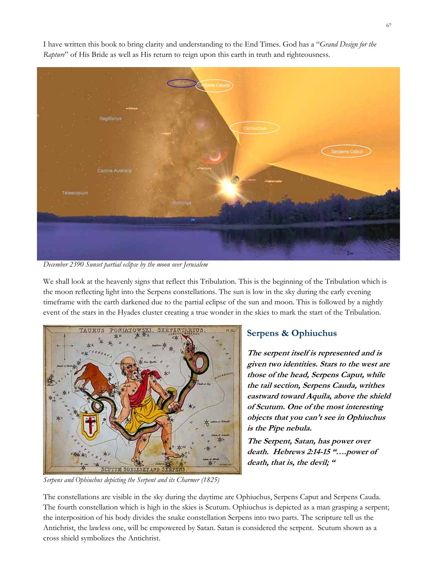

I have written this book to bring clarity and understanding to the End Times. God has a "*Grand Design for the Rapture*" of His Bride as well as His return to reign upon this earth in truth and righteousness.

*December 2390 Sunset partial eclipse by the moon over Jerusalem* 

We shall look at the heavenly signs that reflect this Tribulation. This is the beginning of the Tribulation which is the moon reflecting light into the Serpens constellations. The sun is low in the sky during the early evening timeframe with the earth darkened due to the partial eclipse of the sun and moon. This is followed by a nightly event of the stars in the Hyades cluster creating a true wonder in the skies to mark the start of the Tribulation.



*Serpens and Ophiuchus depicting the Serpent and its Charmer (1825)* 

## **Serpens & Ophiuchus**

**The serpent itself is represented and is given two identities. Stars to the west are those of the head, Serpens Caput, while the tail section, Serpens Cauda, writhes eastward toward Aquila, above the shield of Scutum. One of the most interesting objects that you can't see in Ophiuchus is the Pipe nebula.** 

**The Serpent, Satan, has power over death. Hebrews 2:14-15 "….power of death, that is, the devil; "** 

The constellations are visible in the sky during the daytime are Ophiuchus, Serpens Caput and Serpens Cauda. The fourth constellation which is high in the skies is Scutum. Ophiuchus is depicted as a man grasping a serpent; the interposition of his body divides the snake constellation Serpens into two parts. The scripture tell us the Antichrist, the lawless one, will be empowered by Satan. Satan is considered the serpent. Scutum shown as a cross shield symbolizes the Antichrist.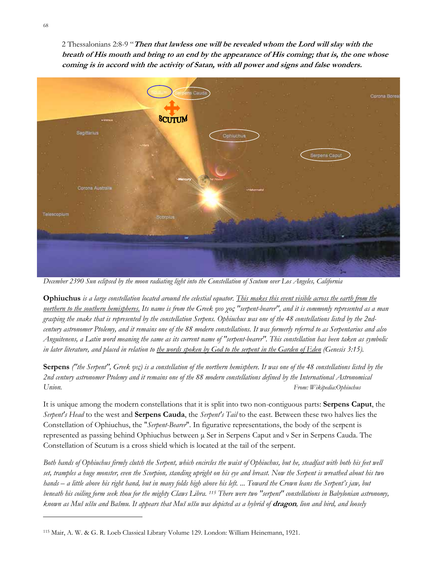2 Thessalonians 2:8-9 "**Then that lawless one will be revealed whom the Lord will slay with the breath of His mouth and bring to an end by the appearance of His coming; that is, the one whose**  coming is in accord with the activity of Satan, with all power and signs and false wonders.



*December 2390 Sun eclipsed by the moon radiating light into the Constellation of Scutum over Los Angeles, California*

**Ophiuchus** *is a large constellation located around the celestial equator. This makes this event visible across the earth from the northern to the southern hemispheres. Its name is from the Greek φιο χος "serpent-bearer", and it is commonly represented as a man grasping the snake that is represented by the constellation Serpens. Ophiuchus was one of the 48 constellations listed by the 2ndcentury astronomer Ptolemy, and it remains one of the 88 modern constellations. It was formerly referred to as Serpentarius and also Anguitenens, a Latin word meaning the same as its current name of "serpent-bearer". This constellation has been taken as symbolic in later literature, and placed in relation to the words spoken by God to the serpent in the Garden of Eden (Genesis 3:15).*

**Serpens** *("the Serpent", Greek φις) is a constellation of the northern hemisphere. It was one of the 48 constellations listed by the 2nd century astronomer Ptolemy and it remains one of the 88 modern constellations defined by the International Astronomical Union. From: Wikipedia:Ophiuchus*

It is unique among the modern constellations that it is split into two non-contiguous parts: **Serpens Caput**, the *Serpent's Head* to the west and **Serpens Cauda**, the *Serpent's Tail* to the east. Between these two halves lies the Constellation of Ophiuchus, the "*Serpent-Bearer*". In figurative representations, the body of the serpent is represented as passing behind Ophiuchus between µ Ser in Serpens Caput and ν Ser in Serpens Cauda. The Constellation of Scutum is a cross shield which is located at the tail of the serpent.

*Both hands of Ophiuchus firmly clutch the Serpent, which encircles the waist of Ophiuchus, but he, steadfast with both his feet well set, tramples a huge monster, even the Scorpion, standing upright on his eye and breast. Now the Serpent is wreathed about his two hands – a little above his right hand, but in many folds high above his left. ... Toward the Crown leans the Serpent's jaw, but beneath his coiling form seek thou for the mighty Claws Libra. 115 There were two "serpent" constellations in Babylonian astronomy, known as Muš uššu and Bašmu. It appears that Muš uššu was depicted as a hybrid of* **dragon***, lion and bird, and loosely* 

<sup>115</sup> Mair, A. W. & G. R. Loeb Classical Library Volume 129. London: William Heinemann, 1921.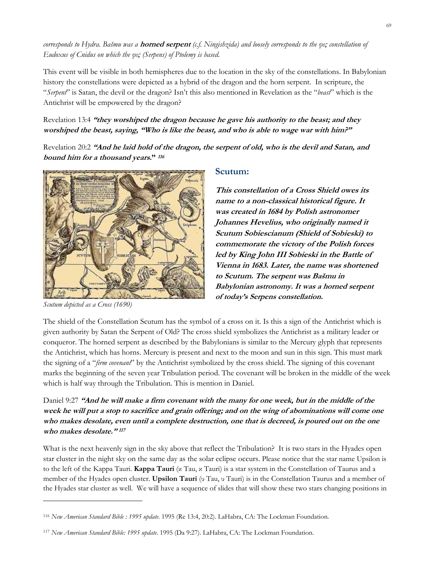*corresponds to Hydra. Bašmu was a* **horned serpent** *(c.f. Ningishzida) and loosely corresponds to the φις constellation of Eudoxus of Cnidus on which the φις (Serpens) of Ptolemy is based.* 

This event will be visible in both hemispheres due to the location in the sky of the constellations. In Babylonian history the constellations were depicted as a hybrid of the dragon and the horn serpent. In scripture, the "*Serpent*" is Satan, the devil or the dragon? Isn't this also mentioned in Revelation as the "*beast*" which is the Antichrist will be empowered by the dragon?

### Revelation 13:4 **"they worshiped the dragon because he gave his authority to the beast; and they worshiped the beast, saying, "Who is like the beast, and who is able to wage war with him?"**

Revelation 20:2 **"And he laid hold of the dragon, the serpent of old, who is the devil and Satan, and bound him for a thousand years." <sup>116</sup>**



*Scutum depicted as a Cross (1690)* 

### **Scutum:**

**This constellation of a Cross Shield owes its name to a non-classical historical figure. It was created in 1684 by Polish astronomer Johannes Hevelius, who originally named it Scutum Sobiescianum (Shield of Sobieski) to commemorate the victory of the Polish forces led by King John III Sobieski in the Battle of Vienna in 1683. Later, the name was shortened to Scutum. The serpent was Bašmu in Babylonian astronomy. It was a horned serpent of today's Serpens constellation.**

The shield of the Constellation Scutum has the symbol of a cross on it. Is this a sign of the Antichrist which is given authority by Satan the Serpent of Old? The cross shield symbolizes the Antichrist as a military leader or conqueror. The horned serpent as described by the Babylonians is similar to the Mercury glyph that represents the Antichrist, which has horns. Mercury is present and next to the moon and sun in this sign. This must mark the signing of a "*firm covenant*" by the Antichrist symbolized by the cross shield. The signing of this covenant marks the beginning of the seven year Tribulation period. The covenant will be broken in the middle of the week which is half way through the Tribulation. This is mention in Daniel.

Daniel 9:27 **"And he will make a firm covenant with the many for one week, but in the middle of the week he will put a stop to sacrifice and grain offering; and on the wing of abominations will come one who makes desolate, even until a complete destruction, one that is decreed, is poured out on the one who makes desolate." <sup>117</sup>**

What is the next heavenly sign in the sky above that reflect the Tribulation? It is two stars in the Hyades open star cluster in the night sky on the same day as the solar eclipse occurs. Please notice that the star name Upsilon is to the left of the Kappa Tauri. **Kappa Tauri** (κ Tau, κ Tauri) is a star system in the Constellation of Taurus and a member of the Hyades open cluster. **Upsilon Tauri** (υ Tau, υ Tauri) is in the Constellation Taurus and a member of the Hyades star cluster as well. We will have a sequence of slides that will show these two stars changing positions in

<sup>116</sup> *New American Standard Bible : 1995 update*. 1995 (Re 13:4, 20:2). LaHabra, CA: The Lockman Foundation.

<sup>117</sup> *New American Standard Bible: 1995 update*. 1995 (Da 9:27). LaHabra, CA: The Lockman Foundation.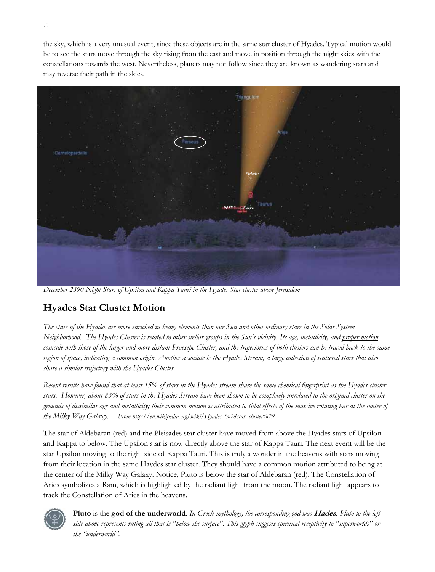the sky, which is a very unusual event, since these objects are in the same star cluster of Hyades. Typical motion would be to see the stars move through the sky rising from the east and move in position through the night skies with the constellations towards the west. Nevertheless, planets may not follow since they are known as wandering stars and may reverse their path in the skies.



*December 2390 Night Stars of Upsilon and Kappa Tauri in the Hyades Star cluster above Jerusalem*

# **Hyades Star Cluster Motion**

*The stars of the Hyades are more enriched in heavy elements than our Sun and other ordinary stars in the Solar System Neighborhood. The Hyades Cluster is related to other stellar groups in the Sun's vicinity. Its age, metallicity, and proper motion coincide with those of the larger and more distant Praesepe Cluster, and the trajectories of both clusters can be traced back to the same region of space, indicating a common origin. Another associate is the Hyades Stream, a large collection of scattered stars that also share a similar trajectory with the Hyades Cluster.* 

*Recent results have found that at least 15% of stars in the Hyades stream share the same chemical fingerprint as the Hyades cluster stars. However, about 85% of stars in the Hyades Stream have been shown to be completely unrelated to the original cluster on the grounds of dissimilar age and metallicity; their common motion is attributed to tidal effects of the massive rotating bar at the center of the Milky Way Galaxy. From http://en.wikipedia.org/wiki/Hyades\_%28star\_cluster%29*

The star of Aldebaran (red) and the Pleisades star cluster have moved from above the Hyades stars of Upsilon and Kappa to below. The Upsilon star is now directly above the star of Kappa Tauri. The next event will be the star Upsilon moving to the right side of Kappa Tauri. This is truly a wonder in the heavens with stars moving from their location in the same Haydes star cluster. They should have a common motion attributed to being at the center of the Milky Way Galaxy. Notice, Pluto is below the star of Aldebaran (red). The Constellation of Aries symbolizes a Ram, which is highlighted by the radiant light from the moon. The radiant light appears to track the Constellation of Aries in the heavens.



**Pluto** is the **god of the underworld**. *In Greek mythology, the corresponding god was* **Hades***. Pluto to the left side above represents ruling all that is "below the surface". This glyph suggests spiritual receptivity to "superworlds" or the "underworld".*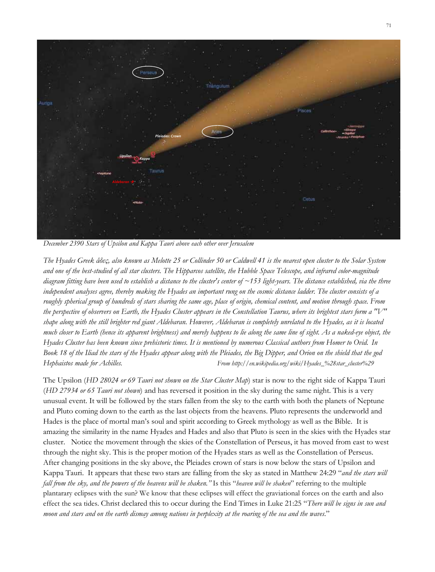

*December 2390 Stars of Upsilon and Kappa Tauri above each other over Jerusalem* 

*The Hyades Greek άδες, also known as Melotte 25 or Collinder 50 or Caldwell 41 is the nearest open cluster to the Solar System and one of the best-studied of all star clusters. The Hipparcos satellite, the Hubble Space Telescope, and infrared color-magnitude diagram fitting have been used to establish a distance to the cluster's center of ~153 light-years. The distance established, via the three independent analyses agree, thereby making the Hyades an important rung on the cosmic distance ladder. The cluster consists of a roughly spherical group of hundreds of stars sharing the same age, place of origin, chemical content, and motion through space. From the perspective of observers on Earth, the Hyades Cluster appears in the Constellation Taurus, where its brightest stars form a "V" shape along with the still brighter red giant Aldebaran. However, Aldebaran is completely unrelated to the Hyades, as it is located much closer to Earth (hence its apparent brightness) and merely happens to lie along the same line of sight. As a naked-eye object, the Hyades Cluster has been known since prehistoric times. It is mentioned by numerous Classical authors from Homer to Ovid. In Book 18 of the Iliad the stars of the Hyades appear along with the Pleiades, the Big Dipper, and Orion on the shield that the god Hephaistos made for Achilles. From http://en.wikipedia.org/wiki/Hyades\_%28star\_cluster%29*

The Upsilon (*HD 28024 or 69 Tauri not shown on the Star Cluster Map*) star is now to the right side of Kappa Tauri (*HD 27934 or 65 Tauri not shown*) and has reversed it position in the sky during the same night. This is a very unusual event. It will be followed by the stars fallen from the sky to the earth with both the planets of Neptune and Pluto coming down to the earth as the last objects from the heavens. Pluto represents the underworld and Hades is the place of mortal man's soul and spirit according to Greek mythology as well as the Bible. It is amazing the similarity in the name Hyades and Hades and also that Pluto is seen in the skies with the Hyades star cluster. Notice the movement through the skies of the Constellation of Perseus, it has moved from east to west through the night sky. This is the proper motion of the Hyades stars as well as the Constellation of Perseus. After changing positions in the sky above, the Pleiades crown of stars is now below the stars of Upsilon and Kappa Tauri. It appears that these two stars are falling from the sky as stated in Matthew 24:29 "*and the stars will fall from the sky, and the powers of the heavens will be shaken."* Is this "*heaven will be shaken*" referring to the multiple plantarary eclipses with the sun? We know that these eclipses will effect the graviational forces on the earth and also effect the sea tides. Christ declared this to occur during the End Times in Luke 21:25 "*There will be signs in sun and moon and stars and on the earth dismay among nations in perplexity at the roaring of the sea and the waves*."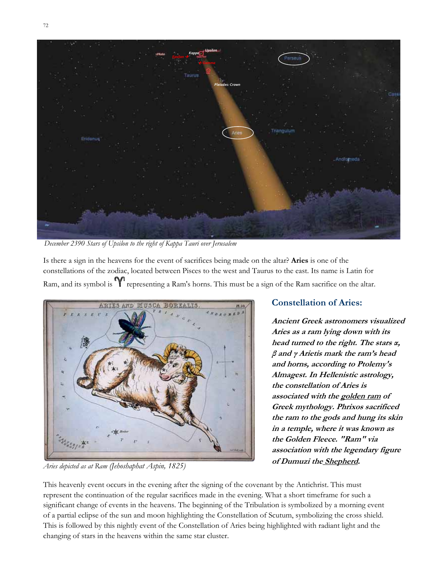

*December 2390 Stars of Upsilon to the right of Kappa Tauri over Jerusalem*

Is there a sign in the heavens for the event of sacrifices being made on the altar? **Aries** is one of the constellations of the zodiac, located between Pisces to the west and Taurus to the east. Its name is Latin for Ram, and its symbol is **Y** representing a Ram's horns. This must be a sign of the Ram sacrifice on the altar.



*Aries depicted as at Ram (Jehoshaphat Aspin, 1825)* 

### **Constellation of Aries:**

**Ancient Greek astronomers visualized Aries as a ram lying down with its head turned to the right. The stars <sup>α</sup>, β and γ Arietis mark the ram's head and horns, according to Ptolemy's Almagest. In Hellenistic astrology, the constellation of Aries is associated with the golden ram of Greek mythology. Phrixos sacrificed the ram to the gods and hung its skin in a temple, where it was known as the Golden Fleece. "Ram" via association with the legendary figure of Dumuzi the Shepherd***.*

This heavenly event occurs in the evening after the signing of the covenant by the Antichrist. This must represent the continuation of the regular sacrifices made in the evening. What a short timeframe for such a significant change of events in the heavens. The beginning of the Tribulation is symbolized by a morning event of a partial eclipse of the sun and moon highlighting the Constellation of Scutum, symbolizing the cross shield. This is followed by this nightly event of the Constellation of Aries being highlighted with radiant light and the changing of stars in the heavens within the same star cluster.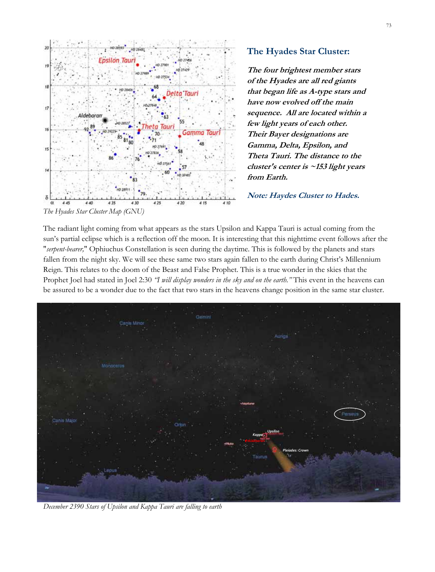

**The Hyades Star Cluster:** 

**The four brightest member stars of the Hyades are all red giants that began life as A-type stars and have now evolved off the main sequence. All are located within a few light years of each other. Their Bayer designations are Gamma, Delta, Epsilon, and Theta Tauri. The distance to the cluster's center is ~153 light years from Earth.** 

**Note: Haydes Cluster to Hades***.*

The radiant light coming from what appears as the stars Upsilon and Kappa Tauri is actual coming from the sun's partial eclipse which is a reflection off the moon. It is interesting that this nighttime event follows after the "*serpent-bearer,*" Ophiuchus Constellation is seen during the daytime. This is followed by the planets and stars fallen from the night sky. We will see these same two stars again fallen to the earth during Christ's Millennium Reign. This relates to the doom of the Beast and False Prophet. This is a true wonder in the skies that the Prophet Joel had stated in Joel 2:30 *"I will display wonders in the sky and on the earth."* This event in the heavens can be assured to be a wonder due to the fact that two stars in the heavens change position in the same star cluster.



*December 2390 Stars of Upsilon and Kappa Tauri are falling to earth*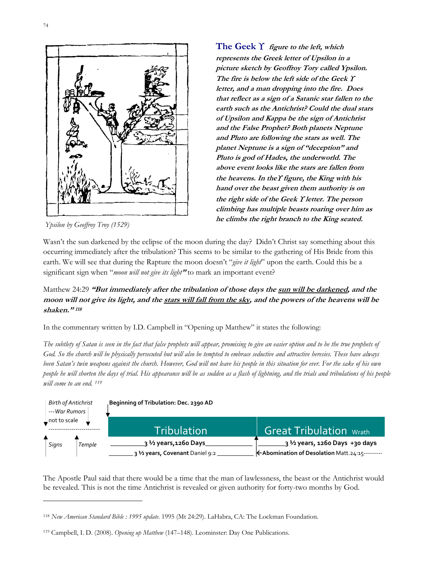

*Ypsilon by Geoffroy Troy (1529)* 

**The Geek** ϒ **figure to the left, which represents the Greek letter of Upsilon in a picture sketch by Geoffroy Tory called Ypsilon. The fire is below the left side of the Geek** ϒ **letter, and a man dropping into the fire. Does that reflect as a sign of a Satanic star fallen to the earth such as the Antichrist? Could the dual stars of Upsilon and Kappa be the sign of Antichrist and the False Prophet? Both planets Neptune and Pluto are following the stars as well. The planet Neptune is a sign of "deception" and Pluto is god of Hades, the underworld. The above event looks like the stars are fallen from the heavens. In the**ϒ **figure, the King with his hand over the beast given them authority is on the right side of the Geek** ϒ **letter. The person climbing has multiple beasts roaring over him as he climbs the right branch to the King seated.**

Wasn't the sun darkened by the eclipse of the moon during the day? Didn't Christ say something about this occurring immediately after the tribulation? This seems to be similar to the gathering of His Bride from this earth. We will see that during the Rapture the moon doesn't "*give it light*" upon the earth. Could this be a significant sign when "*moon will not give its light***"** to mark an important event?

### Matthew 24:29 **"But immediately after the tribulation of those days the sun will be darkened, and the moon will not give its light, and the stars will fall from the sky, and the powers of the heavens will be shaken." <sup>118</sup>**

In the commentary written by I.D. Campbell in "Opening up Matthew" it states the following:

*The subtlety of Satan is seen in the fact that false prophets will appear, promising to give an easier option and to be the true prophets of God. So the church will be physically persecuted but will also be tempted to embrace seductive and attractive heresies. These have always been Satan's twin weapons against the church. However, God will not leave his people in this situation for ever. For the sake of his own people he will shorten the days of trial. His appearance will be as sudden as a flash of lightning, and the trials and tribulations of his people will come to an end. 119*



The Apostle Paul said that there would be a time that the man of lawlessness, the beast or the Antichrist would be revealed. This is not the time Antichrist is revealed or given authority for forty-two months by God.

<sup>118</sup> *New American Standard Bible : 1995 update*. 1995 (Mt 24:29). LaHabra, CA: The Lockman Foundation.

<sup>119</sup> Campbell, I. D. (2008). *Opening up Matthew* (147–148). Leominster: Day One Publications.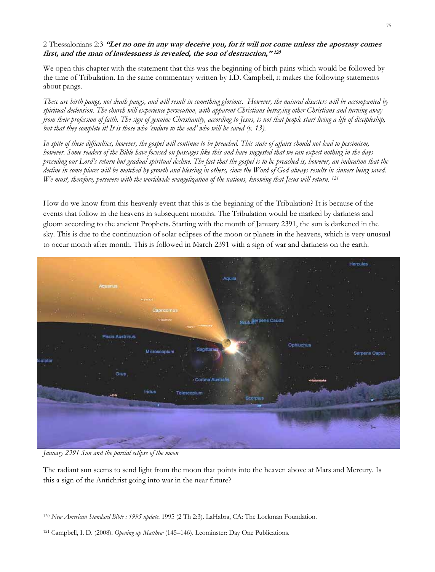#### 2 Thessalonians 2:3 **"Let no one in any way deceive you, for it will not come unless the apostasy comes first, and the man of lawlessness is revealed, the son of destruction," <sup>120</sup>**

We open this chapter with the statement that this was the beginning of birth pains which would be followed by the time of Tribulation. In the same commentary written by I.D. Campbell, it makes the following statements about pangs.

*These are birth pangs, not death pangs, and will result in something glorious. However, the natural disasters will be accompanied by spiritual declension. The church will experience persecution, with apparent Christians betraying other Christians and turning away from their profession of faith. The sign of genuine Christianity, according to Jesus, is not that people start living a life of discipleship, but that they complete it! It is those who 'endure to the end' who will be saved (v. 13).* 

*In spite of these difficulties, however, the gospel will continue to be preached. This state of affairs should not lead to pessimism, however. Some readers of the Bible have focused on passages like this and have suggested that we can expect nothing in the days preceding our Lord's return but gradual spiritual decline. The fact that the gospel is to be preached is, however, an indication that the decline in some places will be matched by growth and blessing in others, since the Word of God always results in sinners being saved. We must, therefore, persevere with the worldwide evangelization of the nations, knowing that Jesus will return. 121*

How do we know from this heavenly event that this is the beginning of the Tribulation? It is because of the events that follow in the heavens in subsequent months. The Tribulation would be marked by darkness and gloom according to the ancient Prophets. Starting with the month of January 2391, the sun is darkened in the sky. This is due to the continuation of solar eclipses of the moon or planets in the heavens, which is very unusual to occur month after month. This is followed in March 2391 with a sign of war and darkness on the earth.



*January 2391 Sun and the partial eclipse of the moon* 

The radiant sun seems to send light from the moon that points into the heaven above at Mars and Mercury. Is this a sign of the Antichrist going into war in the near future?

<sup>120</sup> *New American Standard Bible : 1995 update*. 1995 (2 Th 2:3). LaHabra, CA: The Lockman Foundation.

<sup>121</sup> Campbell, I. D. (2008). *Opening up Matthew* (145–146). Leominster: Day One Publications.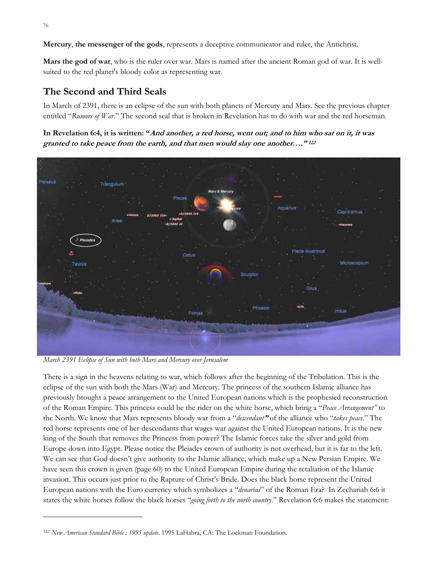**Mercury**, **the messenger of the gods**, represents a deceptive communicator and ruler, the Antichrist.

**Mars the god of war**, who is the ruler over war. Mars is named after the ancient Roman god of war. It is wellsuited to the red planet's bloody color as representing war.

# **The Second and Third Seals**

In March of 2391, there is an eclipse of the sun with both planets of Mercury and Mars. See the previous chapter entitled "*Rumors of War.*" The second seal that is broken in Revelation has to do with war and the red horseman.

**In Revelation 6:4, it is written: "And another, a red horse, went out; and to him who sat on it, it was granted to take peace from the earth, and that men would slay one another…." <sup>122</sup>** 



*March 2391 Eclipse of Sun with both Mars and Mercury over Jerusalem*

There is a sign in the heavens relating to war, which follows after the beginning of the Tribulation. This is the eclipse of the sun with both the Mars (War) and Mercury. The princess of the southern Islamic alliance has previously brought a peace arrangement to the United European nations which is the prophesied reconstruction of the Roman Empire. This princess could be the rider on the white horse, which bring a "*Peace Arrangement"* to the North. We know that Mars represents bloody war from a "*descendant***"** of the alliance who "*takes peace*." The red horse represents one of her descendants that wages war against the United European nations. It is the new king of the South that removes the Princess from power? The Islamic forces take the silver and gold from Europe down into Egypt. Please notice the Pleiades crown of authority is not overhead, but it is far to the left. We can see that God doesn't give authority to the Islamic alliance, which make up a New Persian Empire. We have seen this crown is given (page 60) to the United European Empire during the retaliation of the Islamic invasion. This occurs just prior to the Rapture of Christ's Bride. Does the black horse represent the United European nations with the Euro currency which symbolizes a "*denarius*" of the Roman Era? In Zechariah 6:6 it states the white horses follow the black horses "*going forth to the north country*." Revelation 6:6 makes the statement:

<sup>122</sup> *New American Standard Bible : 1995 update*. 1995 LaHabra, CA: The Lockman Foundation.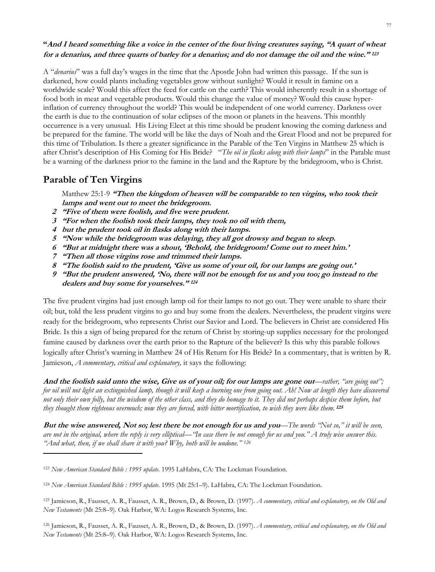### **"And I heard something like a voice in the center of the four living creatures saying, "A quart of wheat for a denarius, and three quarts of barley for a denarius; and do not damage the oil and the wine." <sup>123</sup>**

A "*denarius*" was a full day's wages in the time that the Apostle John had written this passage. If the sun is darkened, how could plants including vegetables grow without sunlight? Would it result in famine on a worldwide scale? Would this affect the feed for cattle on the earth? This would inherently result in a shortage of food both in meat and vegetable products. Would this change the value of money? Would this cause hyperinflation of currency throughout the world? This would be independent of one world currency. Darkness over the earth is due to the continuation of solar eclipses of the moon or planets in the heavens. This monthly occurrence is a very unusual. His Living Elect at this time should be prudent knowing the coming darkness and be prepared for the famine. The world will be like the days of Noah and the Great Flood and not be prepared for this time of Tribulation. Is there a greater significance in the Parable of the Ten Virgins in Matthew 25 which is after Christ's description of His Coming for His Bride? "*The oil in flasks along with their lamps*" in the Parable must be a warning of the darkness prior to the famine in the land and the Rapture by the bridegroom, who is Christ.

### **Parable of Ten Virgins**

Matthew 25:1-9 **"Then the kingdom of heaven will be comparable to ten virgins, who took their lamps and went out to meet the bridegroom.** 

- **2 "Five of them were foolish, and five were prudent.**
- **3 "For when the foolish took their lamps, they took no oil with them,**
- **4 but the prudent took oil in flasks along with their lamps.**
- **5 "Now while the bridegroom was delaying, they all got drowsy and began to sleep.**
- **6 "But at midnight there was a shout, 'Behold, the bridegroom! Come out to meet him.'**
- **7 "Then all those virgins rose and trimmed their lamps.**
- **8 "The foolish said to the prudent, 'Give us some of your oil, for our lamps are going out.'**
- **9 "But the prudent answered, 'No, there will not be enough for us and you too; go instead to the dealers and buy some for yourselves." <sup>124</sup>**

The five prudent virgins had just enough lamp oil for their lamps to not go out. They were unable to share their oil; but, told the less prudent virgins to go and buy some from the dealers. Nevertheless, the prudent virgins were ready for the bridegroom, who represents Christ our Savior and Lord. The believers in Christ are considered His Bride. Is this a sign of being prepared for the return of Christ by storing-up supplies necessary for the prolonged famine caused by darkness over the earth prior to the Rapture of the believer? Is this why this parable follows logically after Christ's warning in Matthew 24 of His Return for His Bride? In a commentary, that is written by R. Jamieson, *A commentary, critical and explanatory,* it says the following:

**And the foolish said unto the wise, Give us of your oil; for our lamps are gone out***—rather, "are going out"; for oil will not light an extinguished lamp, though it will keep a burning one from going out. Ah! Now at length they have discovered not only their own folly, but the wisdom of the other class, and they do homage to it. They did not perhaps despise them before, but they thought them righteous overmuch; now they are forced, with bitter mortification, to wish they were like them.* **<sup>125</sup>**

**But the wise answered, Not so; lest there be not enough for us and you***—The words "Not so," it will be seen, are not in the original, where the reply is very elliptical—"In case there be not enough for us and you." A truly wise answer this. "And what, then, if we shall share it with you? Why, both will be undone." 126*

<sup>123</sup> *New American Standard Bible : 1995 update*. 1995 LaHabra, CA: The Lockman Foundation.

<sup>124</sup> *New American Standard Bible : 1995 update*. 1995 (Mt 25:1–9). LaHabra, CA: The Lockman Foundation.

<sup>125</sup> Jamieson, R., Fausset, A. R., Fausset, A. R., Brown, D., & Brown, D. (1997). *A commentary, critical and explanatory, on the Old and New Testaments* (Mt 25:8–9). Oak Harbor, WA: Logos Research Systems, Inc.

<sup>126</sup> Jamieson, R., Fausset, A. R., Fausset, A. R., Brown, D., & Brown, D. (1997). *A commentary, critical and explanatory, on the Old and New Testaments* (Mt 25:8–9). Oak Harbor, WA: Logos Research Systems, Inc.